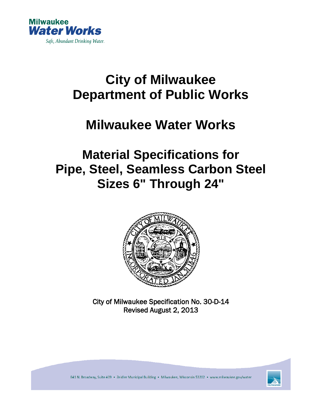

# **City of Milwaukee Department of Public Works**

## **Milwaukee Water Works**

## **Material Specifications for Pipe, Steel, Seamless Carbon Steel Sizes 6" Through 24"**



City of Milwaukee Specification No. 30-D-14 Revised August 2, 2013



841 N. Broadway, Suite 409 · Zeidler Municipal Building · Milwaukee, Wisconsin 53202 · www.milwaukee.gov/water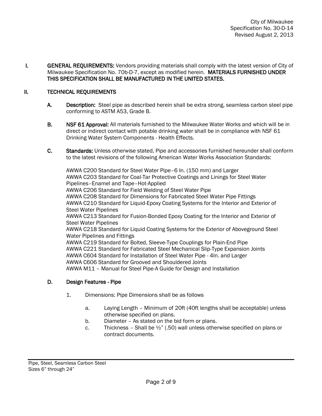I. GENERAL REQUIREMENTS: Vendors providing materials shall comply with the latest version of City of Milwaukee Specification No. 70b-D-7, except as modified herein. MATERIALS FURNISHED UNDER THIS SPECIFICATION SHALL BE MANUFACTURED IN THE UNITED STATES.

#### II. TECHNICAL REQUIREMENTS

- A. Description: Steel pipe as described herein shall be extra strong, seamless carbon steel pipe conforming to ASTM A53, Grade B.
- B. NSF 61 Approval: All materials furnished to the Milwaukee Water Works and which will be in direct or indirect contact with potable drinking water shall be in compliance with NSF 61 Drinking Water System Components - Health Effects.
- C. Standards: Unless otherwise stated, Pipe and accessories furnished hereunder shall conform to the latest revisions of the following American Water Works Association Standards:

AWWA C200 Standard for Steel Water Pipe–6 In. (150 mm) and Larger AWWA C203 Standard for Coal-Tar Protective Coatings and Linings for Steel Water Pipelines–Enamel and Tape–Hot-Applied AWWA C206 Standard for Field Welding of Steel Water Pipe AWWA C208 Standard for Dimensions for Fabricated Steel Water Pipe Fittings AWWA C210 Standard for Liquid-Epoxy Coating Systems for the Interior and Exterior of Steel Water Pipelines AWWA C213 Standard for Fusion-Bonded Epoxy Coating for the Interior and Exterior of Steel Water Pipelines AWWA C218 Standard for Liquid Coating Systems for the Exterior of Aboveground Steel Water Pipelines and Fittings AWWA C219 Standard for Bolted, Sleeve-Type Couplings for Plain-End Pipe AWWA C221 Standard for Fabricated Steel Mechanical Slip-Type Expansion Joints AWWA C604 Standard for Installation of Steel Water Pipe - 4In. and Larger AWWA C606 Standard for Grooved and Shouldered Joints AWWA M11 – Manual for Steel Pipe-A Guide for Design and Installation

#### D. Design Features - Pipe

- 1. Dimensions: Pipe Dimensions shall be as follows
	- a. Laying Length Minimum of 20ft (40ft lengths shall be acceptable) unless otherwise specified on plans.
	- b. Diameter As stated on the bid form or plans.
	- c. Thickness Shall be  $\frac{1}{2}$ " (.50) wall unless otherwise specified on plans or contract documents.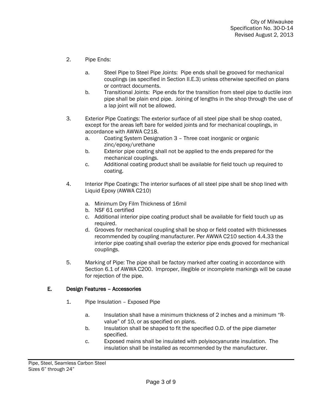- 2. Pipe Ends:
	- a. Steel Pipe to Steel Pipe Joints: Pipe ends shall be grooved for mechanical couplings (as specified in Section II.E.3) unless otherwise specified on plans or contract documents.
	- b. Transitional Joints: Pipe ends for the transition from steel pipe to ductile iron pipe shall be plain end pipe. Joining of lengths in the shop through the use of a lap joint will not be allowed.
- 3. Exterior Pipe Coatings: The exterior surface of all steel pipe shall be shop coated, except for the areas left bare for welded joints and for mechanical couplings, in accordance with AWWA C218.
	- a. Coating System Designation 3 Three coat inorganic or organic zinc/epoxy/urethane
	- b. Exterior pipe coating shall not be applied to the ends prepared for the mechanical couplings.
	- c. Additional coating product shall be available for field touch up required to coating.
- 4. Interior Pipe Coatings: The interior surfaces of all steel pipe shall be shop lined with Liquid Epoxy (AWWA C210)
	- a. Minimum Dry Film Thickness of 16mil
	- b. NSF 61 certified
	- c. Additional interior pipe coating product shall be available for field touch up as required.
	- d. Grooves for mechanical coupling shall be shop or field coated with thicknesses recommended by coupling manufacturer. Per AWWA C210 section 4.4.33 the interior pipe coating shall overlap the exterior pipe ends grooved for mechanical couplings.
- 5. Marking of Pipe: The pipe shall be factory marked after coating in accordance with Section 6.1 of AWWA C200. Improper, illegible or incomplete markings will be cause for rejection of the pipe.

### E. Design Features – Accessories

- 1. Pipe Insulation Exposed Pipe
	- a. Insulation shall have a minimum thickness of 2 inches and a minimum "Rvalue" of 10, or as specified on plans.
	- b. Insulation shall be shaped to fit the specified O.D. of the pipe diameter specified.
	- c. Exposed mains shall be insulated with polyisocyanurate insulation. The insulation shall be installed as recommended by the manufacturer.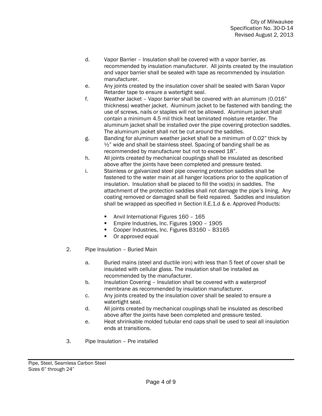- d. Vapor Barrier Insulation shall be covered with a vapor barrier, as recommended by insulation manufacturer. All joints created by the insulation and vapor barrier shall be sealed with tape as recommended by insulation manufacturer.
- e. Any joints created by the insulation cover shall be sealed with Saran Vapor Retarder tape to ensure a watertight seal.
- f. Weather Jacket Vapor barrier shall be covered with an aluminum (0.016" thickness) weather jacket. Aluminum jacket to be fastened with banding; the use of screws, nails or staples will not be allowed. Aluminum jacket shall contain a minimum 4.5 mil thick heat laminated moisture retarder. The aluminum jacket shall be installed over the pipe covering protection saddles. The aluminum jacket shall not be cut around the saddles.
- g. Banding for aluminum weather jacket shall be a minimum of 0.02" thick by ½" wide and shall be stainless steel. Spacing of banding shall be as recommended by manufacturer but not to exceed 18".
- h. All joints created by mechanical couplings shall be insulated as described above after the joints have been completed and pressure tested.
- i. Stainless or galvanized steel pipe covering protection saddles shall be fastened to the water main at all hanger locations prior to the application of insulation. Insulation shall be placed to fill the void(s) in saddles. The attachment of the protection saddles shall not damage the pipe's lining. Any coating removed or damaged shall be field repaired. Saddles and insulation shall be wrapped as specified in Section II.E.1.d & e. Approved Products:
	- **Anvil International Figures 160 165**
	- Empire Industries, Inc. Figures 1900 1905
	- Cooper Industries, Inc. Figures B3160 B3165
	- Or approved equal
- 2. Pipe Insulation Buried Main
	- a. Buried mains (steel and ductile iron) with less than 5 feet of cover shall be insulated with cellular glass. The insulation shall be installed as recommended by the manufacturer.
	- b. Insulation Covering Insulation shall be covered with a waterproof membrane as recommended by insulation manufacturer.
	- c. Any joints created by the insulation cover shall be sealed to ensure a watertight seal.
	- d. All joints created by mechanical couplings shall be insulated as described above after the joints have been completed and pressure tested.
	- e. Heat shrinkable molded tubular end caps shall be used to seal all insulation ends at transitions.
- 3. Pipe Insulation Pre installed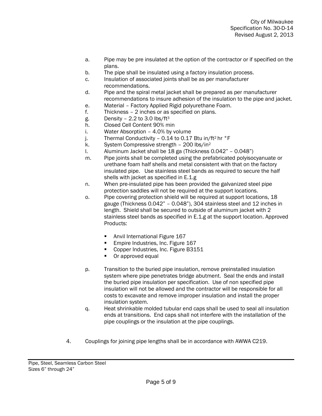- a. Pipe may be pre insulated at the option of the contractor or if specified on the plans.
- b. The pipe shall be insulated using a factory insulation process.
- c. Insulation of associated joints shall be as per manufacturer
- recommendations.
- d. Pipe and the spiral metal jacket shall be prepared as per manufacturer recommendations to insure adhesion of the insulation to the pipe and jacket.
- e. Material Factory Applied Rigid polyurethane Foam.
- f. Thickness 2 inches or as specified on plans.
- g. Density  $-2.2$  to 3.0 lbs/ft<sup>3</sup>
- h. Closed Cell Content 90% min
- i. Water Absorption 4.0% by volume
- j. Thermal Conductivity 0.14 to 0.17 Btu in/ft<sup>2</sup> hr  $\degree$ F
- k. System Compressive strength 200 lbs/in<sup>2</sup>
- l. Aluminum Jacket shall be 18 ga (Thickness 0.042" 0.048")
- m. Pipe joints shall be completed using the prefabricated polyisocyanuate or urethane foam half shells and metal consistent with that on the factory insulated pipe. Use stainless steel bands as required to secure the half shells with jacket as specified in E.1.g.
- n. When pre-insulated pipe has been provided the galvanized steel pipe protection saddles will not be required at the support locations.
- o. Pipe covering protection shield will be required at support locations, 18 gauge (Thickness 0.042" – 0.048"), 304 stainless steel and 12 inches in length. Shield shall be secured to outside of aluminum jacket with 2 stainless steel bands as specified in E.1.g at the support location. Approved Products:
	- **Anvil International Figure 167**
	- **Empire Industries, Inc. Figure 167**
	- Copper Industries, Inc. Figure B3151
	- Or approved equal
- p. Transition to the buried pipe insulation, remove preinstalled insulation system where pipe penetrates bridge abutment. Seal the ends and install the buried pipe insulation per specification. Use of non specified pipe insulation will not be allowed and the contractor will be responsible for all costs to excavate and remove improper insulation and install the proper insulation system.
- q. Heat shrinkable molded tubular end caps shall be used to seal all insulation ends at transitions. End caps shall not interfere with the installation of the pipe couplings or the insulation at the pipe couplings.
- 4. Couplings for joining pipe lengths shall be in accordance with AWWA C219.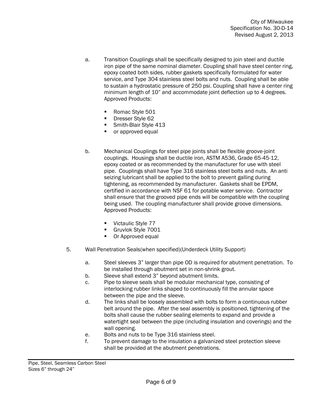- a. Transition Couplings shall be specifically designed to join steel and ductile iron pipe of the same nominal diameter. Coupling shall have steel center ring, epoxy coated both sides, rubber gaskets specifically formulated for water service, and Type 304 stainless steel bolts and nuts. Coupling shall be able to sustain a hydrostatic pressure of 250 psi. Coupling shall have a center ring minimum length of 10" and accommodate joint deflection up to 4 degrees. Approved Products:
	- Romac Style 501
	- **Dresser Style 62**
	- Smith-Blair Style 413
	- **•** or approved equal
- b. Mechanical Couplings for steel pipe joints shall be flexible groove-joint couplings. Housings shall be ductile iron, ASTM A536, Grade 65-45-12, epoxy coated or as recommended by the manufacturer for use with steel pipe. Couplings shall have Type 316 stainless steel bolts and nuts. An anti seizing lubricant shall be applied to the bolt to prevent galling during tightening, as recommended by manufacturer. Gaskets shall be EPDM, certified in accordance with NSF 61 for potable water service. Contractor shall ensure that the grooved pipe ends will be compatible with the coupling being used. The coupling manufacturer shall provide groove dimensions. Approved Products:
	- Victaulic Style 77
	- Gruvlok Style 7001
	- Or Approved equal
- 5. Wall Penetration Seals(when specified)(Underdeck Utility Support)
	- a. Steel sleeves 3" larger than pipe OD is required for abutment penetration. To be installed through abutment set in non-shrink grout.
	- b. Sleeve shall extend 3" beyond abutment limits.
	- c. Pipe to sleeve seals shall be modular mechanical type, consisting of interlocking rubber links shaped to continuously fill the annular space between the pipe and the sleeve.
	- d. The links shall be loosely assembled with bolts to form a continuous rubber belt around the pipe. After the seal assembly is positioned, tightening of the bolts shall cause the rubber sealing elements to expand and provide a watertight seal between the pipe (including insulation and coverings) and the wall opening.
	- e. Bolts and nuts to be Type 316 stainless steel.
	- f. To prevent damage to the insulation a galvanized steel protection sleeve shall be provided at the abutment penetrations.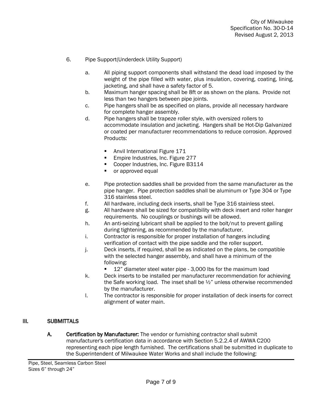- 6. Pipe Support(Underdeck Utility Support)
	- a. All piping support components shall withstand the dead load imposed by the weight of the pipe filled with water, plus insulation, covering, coating, lining, jacketing, and shall have a safety factor of 5.
	- b. Maximum hanger spacing shall be 8ft or as shown on the plans. Provide not less than two hangers between pipe joints.
	- c. Pipe hangers shall be as specified on plans, provide all necessary hardware for complete hanger assembly.
	- d. Pipe hangers shall be trapeze roller style, with oversized rollers to accommodate insulation and jacketing. Hangers shall be Hot-Dip Galvanized or coated per manufacturer recommendations to reduce corrosion. Approved Products:
		- Anvil International Figure 171
		- **Empire Industries, Inc. Figure 277**
		- Cooper Industries, Inc. Figure B3114
		- or approved equal
	- e. Pipe protection saddles shall be provided from the same manufacturer as the pipe hanger. Pipe protection saddles shall be aluminum or Type 304 or Type 316 stainless steel.
	- f. All hardware, including deck inserts, shall be Type 316 stainless steel.
	- g. All hardware shall be sized for compatibility with deck insert and roller hanger requirements. No couplings or bushings will be allowed.
	- h. An anti-seizing lubricant shall be applied to the bolt/nut to prevent galling during tightening, as recommended by the manufacturer.
	- i. Contractor is responsible for proper installation of hangers including verification of contact with the pipe saddle and the roller support.
	- j. Deck inserts, if required, shall be as indicated on the plans, be compatible with the selected hanger assembly, and shall have a minimum of the following:
		- 12" diameter steel water pipe 3,000 lbs for the maximum load
	- k. Deck inserts to be installed per manufacturer recommendation for achieving the Safe working load. The inset shall be  $\frac{1}{2}$ " unless otherwise recommended by the manufacturer.
	- l. The contractor is responsible for proper installation of deck inserts for correct alignment of water main.

#### III. SUBMITTALS

A. Certification by Manufacturer: The vendor or furnishing contractor shall submit manufacturer's certification data in accordance with Section 5.2.2.4 of AWWA C200 representing each pipe length furnished. The certifications shall be submitted in duplicate to the Superintendent of Milwaukee Water Works and shall include the following: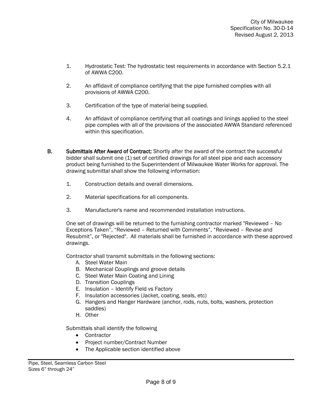- 1. Hydrostatic Test: The hydrostatic test requirements in accordance with Section 5.2.1 of AWWA C200.
- 2. An affidavit of compliance certifying that the pipe furnished complies with all provisions of AWWA C200.
- 3. Certification of the type of material being supplied.
- 4. An affidavit of compliance certifying that all coatings and linings applied to the steel pipe complies with all of the provisions of the associated AWWA Standard referenced within this specification.
- B. Submittals After Award of Contract: Shortly after the award of the contract the successful bidder shall submit one (1) set of certified drawings for all steel pipe and each accessory product being furnished to the Superintendent of Milwaukee Water Works for approval. The drawing submittal shall show the following information:
	- 1. Construction details and overall dimensions.
	- 2. Material specifications for all components.
	- 3. Manufacturer's name and recommended installation instructions.

One set of drawings will be returned to the furnishing contractor marked "Reviewed – No Exceptions Taken", "Reviewed – Returned with Comments", "Reviewed – Revise and Resubmit", or "Rejected". All materials shall be furnished in accordance with these approved drawings.

Contractor shall transmit submittals in the following sections:

- A. Steel Water Main
- B. Mechanical Couplings and groove details
- C. Steel Water Main Coating and Lining
- D. Transition Couplings
- E. Insulation Identify Field vs Factory
- F. Insulation accessories (Jacket, coating, seals, etc)
- G. Hangers and Hanger Hardware (anchor, rods, nuts, bolts, washers, protection saddles)
- H. Other

Submittals shall identify the following

- Contractor
- Project number/Contract Number
- The Applicable section identified above